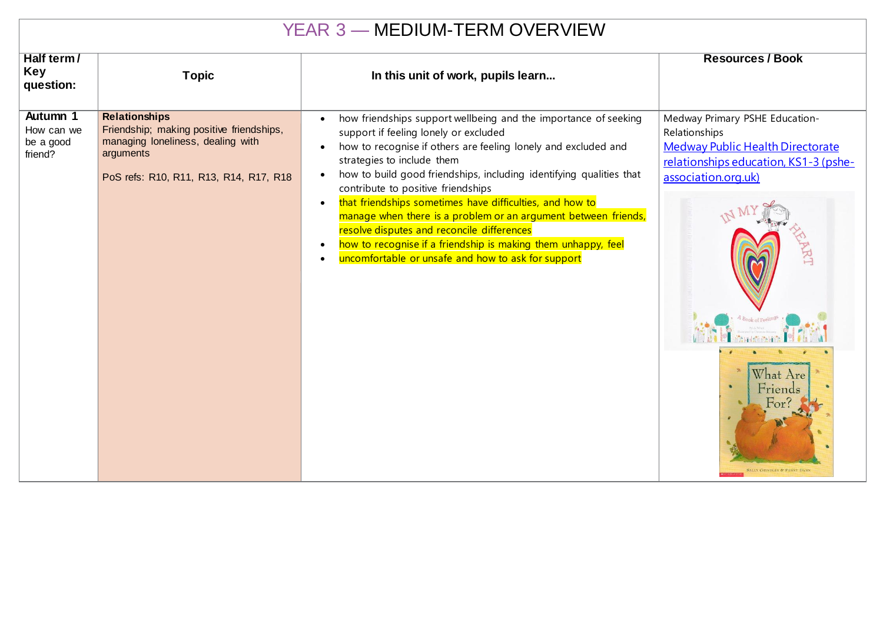| <b>YEAR 3 - MEDIUM-TERM OVERVIEW</b>           |                                                                                                                                                              |                                                                                                                                                                                                                                                                                                                                                                                                                                                                                                                                                                                                                                                                                                        |                                                                                                                                                                                                                                                      |  |  |  |
|------------------------------------------------|--------------------------------------------------------------------------------------------------------------------------------------------------------------|--------------------------------------------------------------------------------------------------------------------------------------------------------------------------------------------------------------------------------------------------------------------------------------------------------------------------------------------------------------------------------------------------------------------------------------------------------------------------------------------------------------------------------------------------------------------------------------------------------------------------------------------------------------------------------------------------------|------------------------------------------------------------------------------------------------------------------------------------------------------------------------------------------------------------------------------------------------------|--|--|--|
| Half term/<br><b>Key</b><br>question:          | <b>Topic</b>                                                                                                                                                 | In this unit of work, pupils learn                                                                                                                                                                                                                                                                                                                                                                                                                                                                                                                                                                                                                                                                     | <b>Resources / Book</b>                                                                                                                                                                                                                              |  |  |  |
| Autumn 1<br>How can we<br>be a good<br>friend? | <b>Relationships</b><br>Friendship; making positive friendships,<br>managing loneliness, dealing with<br>arguments<br>PoS refs: R10, R11, R13, R14, R17, R18 | how friendships support wellbeing and the importance of seeking<br>$\bullet$<br>support if feeling lonely or excluded<br>how to recognise if others are feeling lonely and excluded and<br>$\bullet$<br>strategies to include them<br>how to build good friendships, including identifying qualities that<br>$\bullet$<br>contribute to positive friendships<br>that friendships sometimes have difficulties, and how to<br>$\bullet$<br>manage when there is a problem or an argument between friends,<br>resolve disputes and reconcile differences<br>how to recognise if a friendship is making them unhappy, feel<br>$\bullet$<br>uncomfortable or unsafe and how to ask for support<br>$\bullet$ | Medway Primary PSHE Education-<br>Relationships<br><b>Medway Public Health Directorate</b><br>relationships education, KS1-3 (pshe-<br>association.org.uk)<br><b>KT</b><br>What Are<br>Friends<br>$F_{O1}$<br><b>SALLY GRINDLEY &amp; PENNY DANN</b> |  |  |  |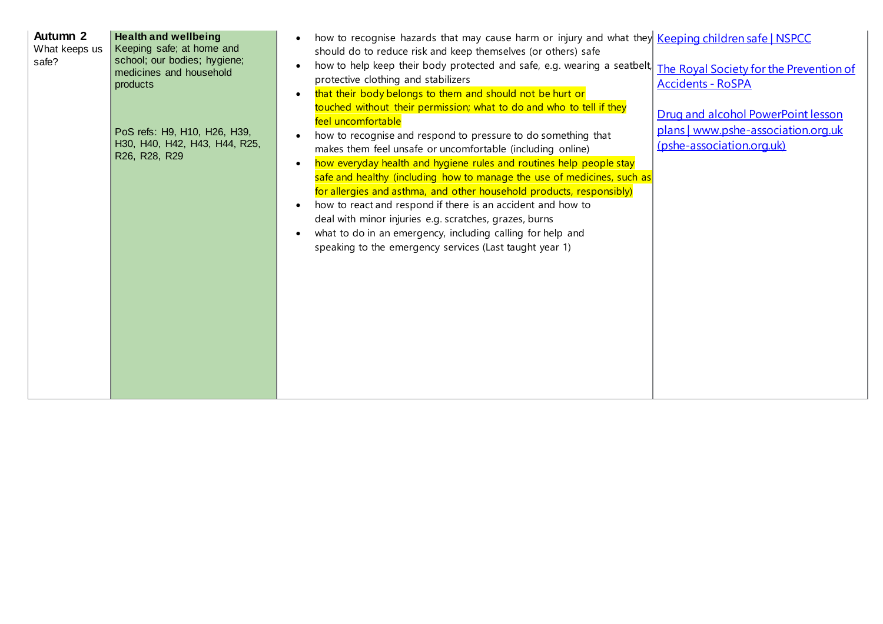|  | Autumn 2<br>What keeps us<br>safe? | <b>Health and wellbeing</b><br>Keeping safe; at home and<br>school; our bodies; hygiene;<br>medicines and household<br>products<br>PoS refs: H9, H10, H26, H39,<br>H30, H40, H42, H43, H44, R25,<br>R26, R28, R29 | how to recognise hazards that may cause harm or injury and what they Keeping children safe   NSPCC<br>should do to reduce risk and keep themselves (or others) safe<br>how to help keep their body protected and safe, e.g. wearing a seatbelt,<br>protective clothing and stabilizers<br>that their body belongs to them and should not be hurt or<br>$\bullet$<br>touched without their permission; what to do and who to tell if they<br>feel uncomfortable<br>how to recognise and respond to pressure to do something that<br>makes them feel unsafe or uncomfortable (including online)<br>how everyday health and hygiene rules and routines help people stay<br>$\bullet$<br>safe and healthy (including how to manage the use of medicines, such as<br>for allergies and asthma, and other household products, responsibly)<br>how to react and respond if there is an accident and how to<br>$\bullet$<br>deal with minor injuries e.g. scratches, grazes, burns<br>what to do in an emergency, including calling for help and<br>speaking to the emergency services (Last taught year 1) | The Royal Society for the Prevention of<br><b>Accidents - RoSPA</b><br>Drug and alcohol PowerPoint lesson<br>plans   www.pshe-association.org.uk<br>(pshe-association.org.uk) |
|--|------------------------------------|-------------------------------------------------------------------------------------------------------------------------------------------------------------------------------------------------------------------|-----------------------------------------------------------------------------------------------------------------------------------------------------------------------------------------------------------------------------------------------------------------------------------------------------------------------------------------------------------------------------------------------------------------------------------------------------------------------------------------------------------------------------------------------------------------------------------------------------------------------------------------------------------------------------------------------------------------------------------------------------------------------------------------------------------------------------------------------------------------------------------------------------------------------------------------------------------------------------------------------------------------------------------------------------------------------------------------------------|-------------------------------------------------------------------------------------------------------------------------------------------------------------------------------|
|--|------------------------------------|-------------------------------------------------------------------------------------------------------------------------------------------------------------------------------------------------------------------|-----------------------------------------------------------------------------------------------------------------------------------------------------------------------------------------------------------------------------------------------------------------------------------------------------------------------------------------------------------------------------------------------------------------------------------------------------------------------------------------------------------------------------------------------------------------------------------------------------------------------------------------------------------------------------------------------------------------------------------------------------------------------------------------------------------------------------------------------------------------------------------------------------------------------------------------------------------------------------------------------------------------------------------------------------------------------------------------------------|-------------------------------------------------------------------------------------------------------------------------------------------------------------------------------|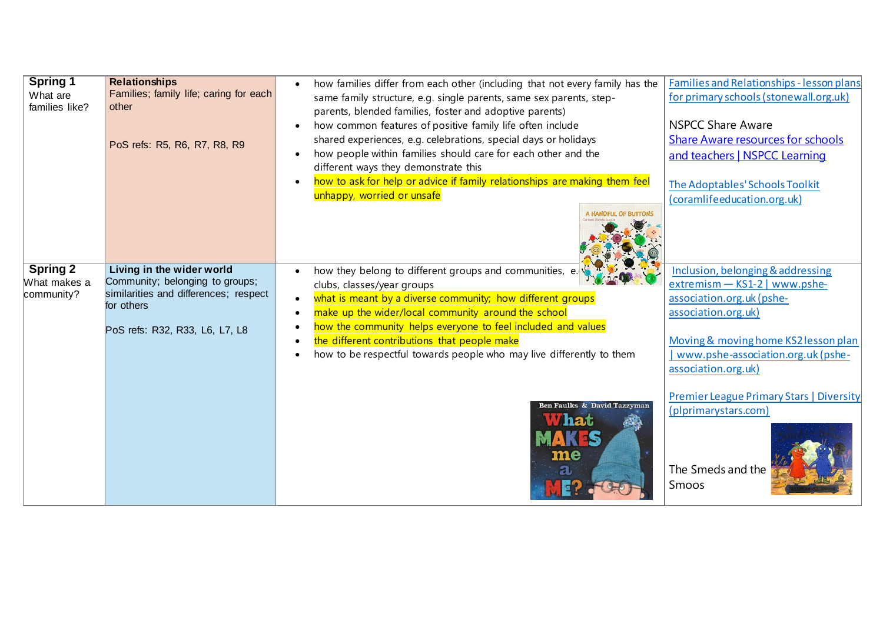| <b>Spring 1</b> | <b>Relationships</b>                   | how families differ from each other (including that not every family has the | Families and Relationships - lesson plans       |
|-----------------|----------------------------------------|------------------------------------------------------------------------------|-------------------------------------------------|
| What are        | Families; family life; caring for each | same family structure, e.g. single parents, same sex parents, step-          | for primary schools (stonewall.org.uk)          |
| families like?  | other                                  | parents, blended families, foster and adoptive parents)                      |                                                 |
|                 |                                        | how common features of positive family life often include                    | <b>NSPCC Share Aware</b>                        |
|                 | PoS refs: R5, R6, R7, R8, R9           | shared experiences, e.g. celebrations, special days or holidays              | <b>Share Aware resources for schools</b>        |
|                 |                                        | how people within families should care for each other and the                | and teachers   NSPCC Learning                   |
|                 |                                        | different ways they demonstrate this                                         |                                                 |
|                 |                                        | how to ask for help or advice if family relationships are making them feel   | The Adoptables' Schools Toolkit                 |
|                 |                                        | unhappy, worried or unsafe                                                   | (coramlifeeducation.org.uk)                     |
|                 |                                        | <b>HANDFUL OF BUTTONS</b>                                                    |                                                 |
|                 |                                        |                                                                              |                                                 |
|                 |                                        |                                                                              |                                                 |
|                 |                                        |                                                                              |                                                 |
| <b>Spring 2</b> | Living in the wider world              | how they belong to different groups and communities, e.                      | Inclusion, belonging & addressing               |
| What makes a    | Community; belonging to groups;        | clubs, classes/year groups                                                   | extremism - KS1-2   www.pshe-                   |
| community?      | similarities and differences; respect  | what is meant by a diverse community; how different groups<br>$\bullet$      | association.org.uk (pshe-                       |
|                 | for others                             | make up the wider/local community around the school<br>$\bullet$             | association.org.uk)                             |
|                 | PoS refs: R32, R33, L6, L7, L8         | how the community helps everyone to feel included and values                 |                                                 |
|                 |                                        | the different contributions that people make                                 | Moving & moving home KS2 lesson plan            |
|                 |                                        | how to be respectful towards people who may live differently to them         | www.pshe-association.org.uk (pshe-              |
|                 |                                        |                                                                              | association.org.uk)                             |
|                 |                                        |                                                                              |                                                 |
|                 |                                        |                                                                              | <b>Premier League Primary Stars   Diversity</b> |
|                 |                                        | Ben Faulks & David Tazzyman                                                  | (plprimarystars.com)                            |
|                 |                                        | <b>What</b>                                                                  |                                                 |
|                 |                                        |                                                                              |                                                 |
|                 |                                        | me                                                                           |                                                 |
|                 |                                        | $\bf a$                                                                      | The Smeds and the                               |
|                 |                                        |                                                                              | Smoos                                           |
|                 |                                        |                                                                              |                                                 |